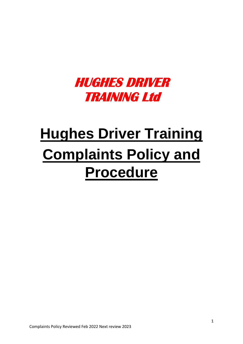# **HUGHES DRIVER TRAINING Ltd**

# **Hughes Driver Training Complaints Policy and Procedure**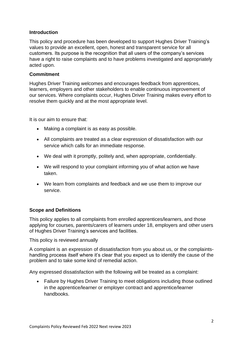### **Introduction**

This policy and procedure has been developed to support Hughes Driver Training's values to provide an excellent, open, honest and transparent service for all customers. Its purpose is the recognition that all users of the company's services have a right to raise complaints and to have problems investigated and appropriately acted upon.

### **Commitment**

Hughes Driver Training welcomes and encourages feedback from apprentices, learners, employers and other stakeholders to enable continuous improvement of our services. Where complaints occur, Hughes Driver Training makes every effort to resolve them quickly and at the most appropriate level.

It is our aim to ensure that:

- Making a complaint is as easy as possible.
- All complaints are treated as a clear expression of dissatisfaction with our service which calls for an immediate response.
- We deal with it promptly, politely and, when appropriate, confidentially.
- We will respond to your complaint informing you of what action we have taken.
- We learn from complaints and feedback and we use them to improve our service.

#### **Scope and Definitions**

This policy applies to all complaints from enrolled apprentices/learners, and those applying for courses, parents/carers of learners under 18, employers and other users of Hughes Driver Training's services and facilities.

This policy is reviewed annually

A complaint is an expression of dissatisfaction from you about us, or the complaintshandling process itself where it's clear that you expect us to identify the cause of the problem and to take some kind of remedial action.

Any expressed dissatisfaction with the following will be treated as a complaint:

• Failure by Hughes Driver Training to meet obligations including those outlined in the apprentice/learner or employer contract and apprentice/learner handbooks.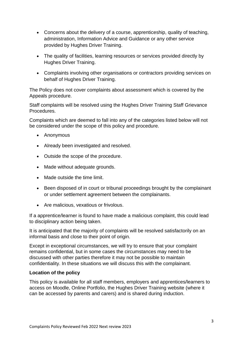- Concerns about the delivery of a course, apprenticeship, quality of teaching, administration, Information Advice and Guidance or any other service provided by Hughes Driver Training.
- The quality of facilities, learning resources or services provided directly by Hughes Driver Training.
- Complaints involving other organisations or contractors providing services on behalf of Hughes Driver Training.

The Policy does not cover complaints about assessment which is covered by the Appeals procedure.

Staff complaints will be resolved using the Hughes Driver Training Staff Grievance Procedures.

Complaints which are deemed to fall into any of the categories listed below will not be considered under the scope of this policy and procedure.

- Anonymous
- Already been investigated and resolved.
- Outside the scope of the procedure.
- Made without adequate grounds.
- Made outside the time limit.
- Been disposed of in court or tribunal proceedings brought by the complainant or under settlement agreement between the complainants.
- Are malicious, vexatious or frivolous.

If a apprentice/learner is found to have made a malicious complaint, this could lead to disciplinary action being taken.

It is anticipated that the majority of complaints will be resolved satisfactorily on an informal basis and close to their point of origin.

Except in exceptional circumstances, we will try to ensure that your complaint remains confidential, but in some cases the circumstances may need to be discussed with other parties therefore it may not be possible to maintain confidentiality. In these situations we will discuss this with the complainant.

# **Location of the policy**

This policy is available for all staff members, employers and apprentices/learners to access on Moodle, Online Portfolio, the Hughes Driver Training website (where it can be accessed by parents and carers) and is shared during induction.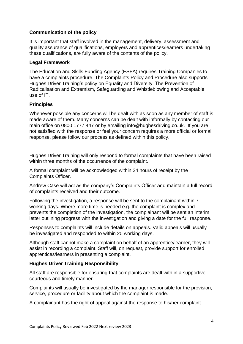# **Communication of the policy**

It is important that staff involved in the management, delivery, assessment and quality assurance of qualifications, employers and apprentices/learners undertaking these qualifications, are fully aware of the contents of the policy.

### **Legal Framework**

The Education and Skills Funding Agency (ESFA) requires Training Companies to have a complaints procedure. The Complaints Policy and Procedure also supports Hughes Driver Training's policy on Equality and Diversity, The Prevention of Radicalisation and Extremism, Safeguarding and Whistleblowing and Acceptable use of IT.

# **Principles**

Whenever possible any concerns will be dealt with as soon as any member of staff is made aware of them. Many concerns can be dealt with informally by contacting our main office on 0800 1777 447 or by emailing info@hughesdriving.co.uk. If you are not satisfied with the response or feel your concern requires a more official or formal response, please follow our process as defined within this policy.

Hughes Driver Training will only respond to formal complaints that have been raised within three months of the occurrence of the complaint.

A formal complaint will be acknowledged within 24 hours of receipt by the Complaints Officer.

Andrew Case will act as the company's Complaints Officer and maintain a full record of complaints received and their outcome.

Following the investigation, a response will be sent to the complainant within 7 working days. Where more time is needed e.g. the complaint is complex and prevents the completion of the investigation, the complainant will be sent an interim letter outlining progress with the investigation and giving a date for the full response.

Responses to complaints will include details on appeals. Valid appeals will usually be investigated and responded to within 20 working days.

Although staff cannot make a complaint on behalf of an apprentice/learner, they will assist in recording a complaint. Staff will, on request, provide support for enrolled apprentices/learners in presenting a complaint.

# **Hughes Driver Training Responsibility**

All staff are responsible for ensuring that complaints are dealt with in a supportive, courteous and timely manner.

Complaints will usually be investigated by the manager responsible for the provision, service, procedure or facility about which the complaint is made.

A complainant has the right of appeal against the response to his/her complaint.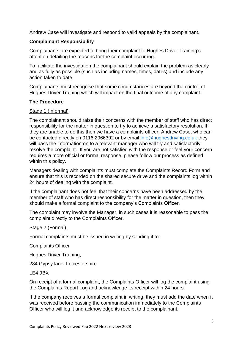Andrew Case will investigate and respond to valid appeals by the complainant.

### **Complainant Responsibility**

Complainants are expected to bring their complaint to Hughes Driver Training's attention detailing the reasons for the complaint occurring.

To facilitate the investigation the complainant should explain the problem as clearly and as fully as possible (such as including names, times, dates) and include any action taken to date.

Complainants must recognise that some circumstances are beyond the control of Hughes Driver Training which will impact on the final outcome of any complaint.

#### **The Procedure**

#### Stage 1 (Informal)

The complainant should raise their concerns with the member of staff who has direct responsibility for the matter in question to try to achieve a satisfactory resolution. If they are unable to do this then we have a complaints officer, Andrew Case, who can be contacted directly on 0116 2966392 or by email [info@hughesdriving.co.uk](mailto:info@hughesdriving.co.uk) they will pass the information on to a relevant manager who will try and satisfactorily resolve the complaint. If you are not satisfied with the response or feel your concern requires a more official or formal response, please follow our process as defined within this policy.

Managers dealing with complaints must complete the Complaints Record Form and ensure that this is recorded on the shared secure drive and the complaints log within 24 hours of dealing with the complaint.

If the complainant does not feel that their concerns have been addressed by the member of staff who has direct responsibility for the matter in question, then they should make a formal complaint to the company's Complaints Officer.

The complaint may involve the Manager, in such cases it is reasonable to pass the complaint directly to the Complaints Officer.

#### Stage 2 (Formal)

Formal complaints must be issued in writing by sending it to:

Complaints Officer

Hughes Driver Training,

284 Gypsy lane, Leicestershire

LE4 9BX

On receipt of a formal complaint, the Complaints Officer will log the complaint using the Complaints Report Log and acknowledge its receipt within 24 hours.

If the company receives a formal complaint in writing, they must add the date when it was received before passing the communication immediately to the Complaints Officer who will log it and acknowledge its receipt to the complainant.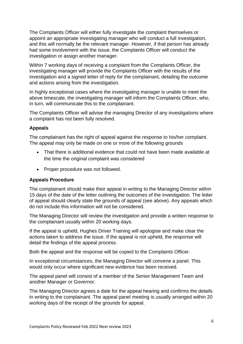The Complaints Officer will either fully investigate the complaint themselves or appoint an appropriate investigating manager who will conduct a full investigation, and this will normally be the relevant manager. However, if that person has already had some involvement with the issue, the Complaints Officer will conduct the investigation or assign another manager.

Within 7 working days of receiving a complaint from the Complaints Officer, the investigating manager will provide the Complaints Officer with the results of the investigation and a signed letter of reply for the complainant, detailing the outcome and actions arising from the investigation.

In highly exceptional cases where the investigating manager is unable to meet the above timescale, the investigating manager will inform the Complaints Officer, who, in turn, will communicate this to the complainant.

The Complaints Officer will advise the managing Director of any investigations where a complaint has not been fully resolved.

# **Appeals**

The complainant has the right of appeal against the response to his/her complaint. The appeal may only be made on one or more of the following grounds

- That there is additional evidence that could not have been made available at the time the original complaint was considered
- Proper procedure was not followed.

#### **Appeals Procedure**

The complainant should make their appeal in writing to the Managing Director within 15 days of the date of the letter outlining the outcomes of the investigation. The letter of appeal should clearly state the grounds of appeal (see above). Any appeals which do not include this information will not be considered.

The Managing Director will review the investigation and provide a written response to the complainant usually within 20 working days.

If the appeal is upheld, Hughes Driver Training will apologise and make clear the actions taken to address the issue. If the appeal is not upheld, the response will detail the findings of the appeal process.

Both the appeal and the response will be copied to the Complaints Officer.

In exceptional circumstances, the Managing Director will convene a panel. This would only occur where significant new evidence has been received.

The appeal panel will consist of a member of the Senior Management Team and another Manager or Governor.

The Managing Director agrees a date for the appeal hearing and confirms the details in writing to the complainant. The appeal panel meeting is usually arranged within 20 working days of the receipt of the grounds for appeal.